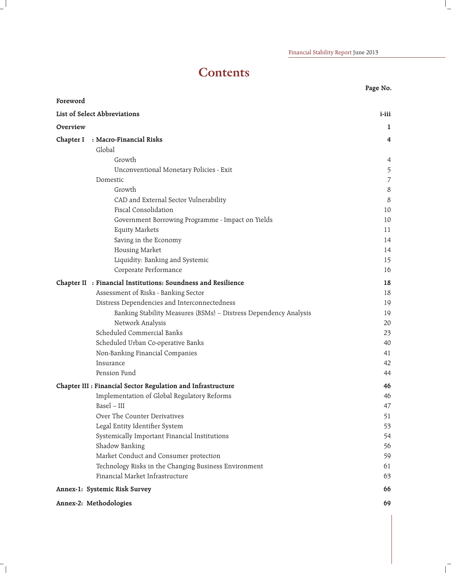## **Contents**

|           |                                                                  | Page No.       |
|-----------|------------------------------------------------------------------|----------------|
| Foreword  |                                                                  |                |
|           | List of Select Abbreviations                                     | i-iii          |
| Overview  |                                                                  | $\mathbf{1}$   |
| Chapter I | : Macro-Financial Risks                                          | 4              |
|           | Global                                                           |                |
|           | Growth                                                           | 4              |
|           | Unconventional Monetary Policies - Exit                          | 5              |
|           | Domestic                                                         | $\overline{7}$ |
|           | Growth                                                           | 8              |
|           | CAD and External Sector Vulnerability                            | 8              |
|           | <b>Fiscal Consolidation</b>                                      | 10             |
|           | Government Borrowing Programme - Impact on Yields                | 10             |
|           | <b>Equity Markets</b>                                            | 11             |
|           | Saving in the Economy                                            | 14             |
|           | Housing Market                                                   | 14             |
|           | Liquidity: Banking and Systemic                                  | 15             |
|           | Corporate Performance                                            | 16             |
|           | Chapter II : Financial Institutions: Soundness and Resilience    | 18             |
|           | Assessment of Risks - Banking Sector                             | 18             |
|           | Distress Dependencies and Interconnectedness                     | 19             |
|           | Banking Stability Measures (BSMs) - Distress Dependency Analysis | 19             |
|           | Network Analysis                                                 | 20             |
|           | Scheduled Commercial Banks                                       | 23             |
|           | Scheduled Urban Co-operative Banks                               | 40             |
|           | Non-Banking Financial Companies                                  | 41             |
|           | Insurance                                                        | 42             |
|           | Pension Fund                                                     | 44             |
|           | Chapter III : Financial Sector Regulation and Infrastructure     | 46             |
|           | Implementation of Global Regulatory Reforms                      | 46             |
|           | Basel - III                                                      | 47             |
|           | Over The Counter Derivatives                                     | 51             |
|           | Legal Entity Identifier System                                   | 53             |
|           | Systemically Important Financial Institutions                    | 54             |
|           | Shadow Banking                                                   | 56             |
|           | Market Conduct and Consumer protection                           | 59             |
|           | Technology Risks in the Changing Business Environment            | 61             |
|           | Financial Market Infrastructure                                  | 63             |
|           | Annex-1: Systemic Risk Survey                                    | 66             |
|           | Annex-2: Methodologies                                           | 69             |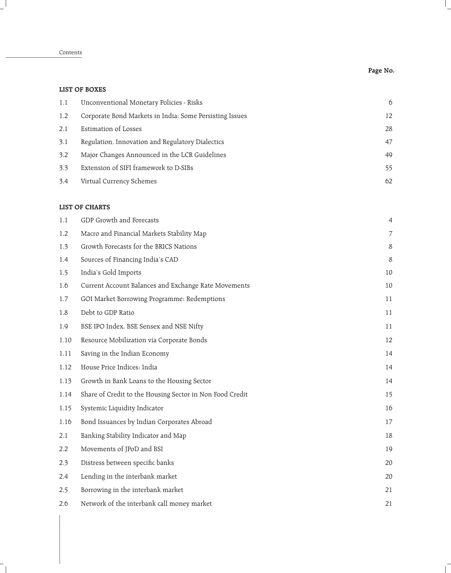|      | <b>LIST OF BOXES</b>                                     |    |
|------|----------------------------------------------------------|----|
| 1.1  | Unconventional Monetary Policies - Risks                 | 6  |
| 1.2  | Corporate Bond Markets in India: Some Persisting Issues  | 12 |
| 2.1  | <b>Estimation of Losses</b>                              | 28 |
| 3.1  | Regulation, Innovation and Regulatory Dialectics         | 47 |
| 3.2  | Major Changes Announced in the LCR Guidelines            | 49 |
| 3.3  | Extension of SIFI framework to D-SIBs                    | 55 |
| 3.4  | Virtual Currency Schemes                                 | 62 |
|      | <b>LIST OF CHARTS</b>                                    |    |
| 1.1  | GDP Growth and Forecasts                                 | 4  |
| 1.2  | Macro and Financial Markets Stability Map                | 7  |
| 1.3  | Growth Forecasts for the BRICS Nations                   | 8  |
| 1.4  | Sources of Financing India's CAD                         | 8  |
| 1.5  | India's Gold Imports                                     | 10 |
| 1.6  | Current Account Balances and Exchange Rate Movements     | 10 |
| 1.7  | GOI Market Borrowing Programme: Redemptions              | 11 |
| 1.8  | Debt to GDP Ratio                                        | 11 |
| 1.9  | BSE IPO Index, BSE Sensex and NSE Nifty                  | 11 |
| 1.10 | Resource Mobilization via Corporate Bonds                | 12 |
| 1.11 | Saving in the Indian Economy                             | 14 |
| 1.12 | House Price Indices: India                               | 14 |
| 1.13 | Growth in Bank Loans to the Housing Sector               | 14 |
| 1.14 | Share of Credit to the Housing Sector in Non Food Credit | 15 |
| 1.15 | Systemic Liquidity Indicator                             | 16 |
| 1.16 | Bond Issuances by Indian Corporates Abroad               | 17 |
| 2.1  | Banking Stability Indicator and Map                      | 18 |
| 2.2  | Movements of JPoD and BSI                                | 19 |
| 2.3  | Distress between specific banks                          | 20 |
| 2.4  | Lending in the interbank market                          | 20 |
| 2.5  | Borrowing in the interbank market                        | 21 |
| 2.6  | Network of the interbank call money market               | 21 |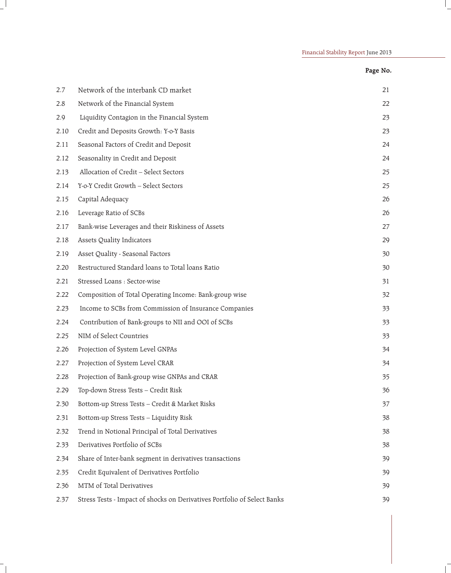| ⊷ | N.<br>. . |
|---|-----------|
|---|-----------|

| 2.7  | Network of the interbank CD market                                       | 21 |
|------|--------------------------------------------------------------------------|----|
| 2.8  | Network of the Financial System                                          | 22 |
| 2.9  | Liquidity Contagion in the Financial System                              | 23 |
| 2.10 | Credit and Deposits Growth: Y-o-Y Basis                                  | 23 |
| 2.11 | Seasonal Factors of Credit and Deposit                                   | 24 |
| 2.12 | Seasonality in Credit and Deposit                                        | 24 |
| 2.13 | Allocation of Credit - Select Sectors                                    | 25 |
| 2.14 | Y-o-Y Credit Growth - Select Sectors                                     | 25 |
| 2.15 | Capital Adequacy                                                         | 26 |
| 2.16 | Leverage Ratio of SCBs                                                   | 26 |
| 2.17 | Bank-wise Leverages and their Riskiness of Assets                        | 27 |
| 2.18 | Assets Quality Indicators                                                | 29 |
| 2.19 | Asset Quality - Seasonal Factors                                         | 30 |
| 2.20 | Restructured Standard loans to Total loans Ratio                         | 30 |
| 2.21 | Stressed Loans : Sector-wise                                             | 31 |
| 2.22 | Composition of Total Operating Income: Bank-group wise                   | 32 |
| 2.23 | Income to SCBs from Commission of Insurance Companies                    | 33 |
| 2.24 | Contribution of Bank-groups to NII and OOI of SCBs                       | 33 |
| 2.25 | NIM of Select Countries                                                  | 33 |
| 2.26 | Projection of System Level GNPAs                                         | 34 |
| 2.27 | Projection of System Level CRAR                                          | 34 |
| 2.28 | Projection of Bank-group wise GNPAs and CRAR                             | 35 |
| 2.29 | Top-down Stress Tests - Credit Risk                                      | 36 |
| 2.30 | Bottom-up Stress Tests - Credit & Market Risks                           | 37 |
| 2.31 | Bottom-up Stress Tests - Liquidity Risk                                  | 38 |
| 2.32 | Trend in Notional Principal of Total Derivatives                         | 38 |
| 2.33 | Derivatives Portfolio of SCBs                                            | 38 |
| 2.34 | Share of Inter-bank segment in derivatives transactions                  | 39 |
| 2.35 | Credit Equivalent of Derivatives Portfolio                               | 39 |
| 2.36 | MTM of Total Derivatives                                                 | 39 |
| 2.37 | Stress Tests - Impact of shocks on Derivatives Portfolio of Select Banks | 39 |